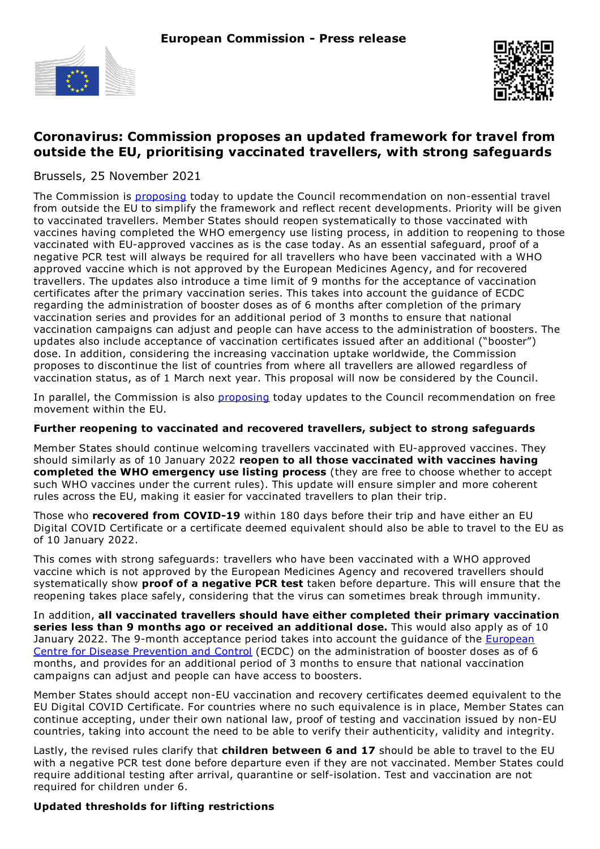



# **Coronavirus: Commission proposes an updated framework for travel from outside the EU, prioritising vaccinated travellers, with strong safeguards**

Brussels, 25 November 2021

The Commission is **[proposing](https://ec.europa.eu/home-affairs/proposal-amending-council-recommendation-2020-912_en)** today to update the Council recommendation on non-essential travel from outside the EU to simplify the framework and reflect recent developments. Priority will be given to vaccinated travellers. Member States should reopen systematically to those vaccinated with vaccines having completed the WHO emergency use listing process, in addition to reopening to those vaccinated with EU-approved vaccines as is the case today. As an essential safeguard, proof of a negative PCR test will always be required for all travellers who have been vaccinated with a WHO approved vaccine which is not approved by the European Medicines Agency, and for recovered travellers. The updates also introduce a time limit of 9 months for the acceptance of vaccination certificates after the primary vaccination series. This takes into account the guidance of ECDC regarding the administration of booster doses as of 6 months after completion of the primary vaccination series and provides for an additional period of 3 months to ensure that national vaccination campaigns can adjust and people can have access to the administration of boosters. The updates also include acceptance of vaccination certificates issued after an additional ("booster") dose. In addition, considering the increasing vaccination uptake worldwide, the Commission proposes to discontinue the list of countries from where all travellers are allowed regardless of vaccination status, as of 1 March next year. This proposal will now be considered by the Council.

In parallel, the Commission is also [proposing](https://ec.europa.eu/commission/presscorner/detail/en/ip_21_6186) today updates to the Council recommendation on free movement within the EU.

### **Further reopening to vaccinated and recovered travellers, subject to strong safeguards**

Member States should continue welcoming travellers vaccinated with EU-approved vaccines. They should similarly as of 10 January 2022 **reopen to all those vaccinated with vaccines having completed the WHO emergency use listing process** (they are free to choose whether to accept such WHO vaccines under the current rules). This update will ensure simpler and more coherent rules across the EU, making it easier for vaccinated travellers to plan their trip.

Those who **recovered from COVID-19** within 180 days before their trip and have either an EU Digital COVID Certificate or a certificate deemed equivalent should also be able to travel to the EU as of 10 January 2022.

This comes with strong safeguards: travellers who have been vaccinated with a WHO approved vaccine which is not approved by the European Medicines Agency and recovered travellers should systematically show **proof of a negative PCR test** taken before departure. This will ensure that the reopening takes place safely, considering that the virus can sometimes break through immunity.

In addition, **all vaccinated travellers should have either completed their primary vaccination series less than 9 months ago or received an additional dose.** This would also apply as of 10 January 2022. The 9-month acceptance period takes into account the quidance of the European Centre for Disease Prevention and Control (ECDC) on the [administration](https://www.ecdc.europa.eu/en/news-events/ecdc-statement-risk-very-high-covid-19-burden-unless-public-health-measures-are-applied) of booster doses as of 6 months, and provides for an additional period of 3 months to ensure that national vaccination campaigns can adjust and people can have access to boosters.

Member States should accept non-EU vaccination and recovery certificates deemed equivalent to the EU Digital COVID Certificate. For countries where no such equivalence is in place, Member States can continue accepting, under their own national law, proof of testing and vaccination issued by non-EU countries, taking into account the need to be able to verify their authenticity, validity and integrity.

Lastly, the revised rules clarify that **children between 6 and 17** should be able to travel to the EU with a negative PCR test done before departure even if they are not vaccinated. Member States could require additional testing after arrival, quarantine or self-isolation. Test and vaccination are not required for children under 6.

# **Updated thresholds for lifting restrictions**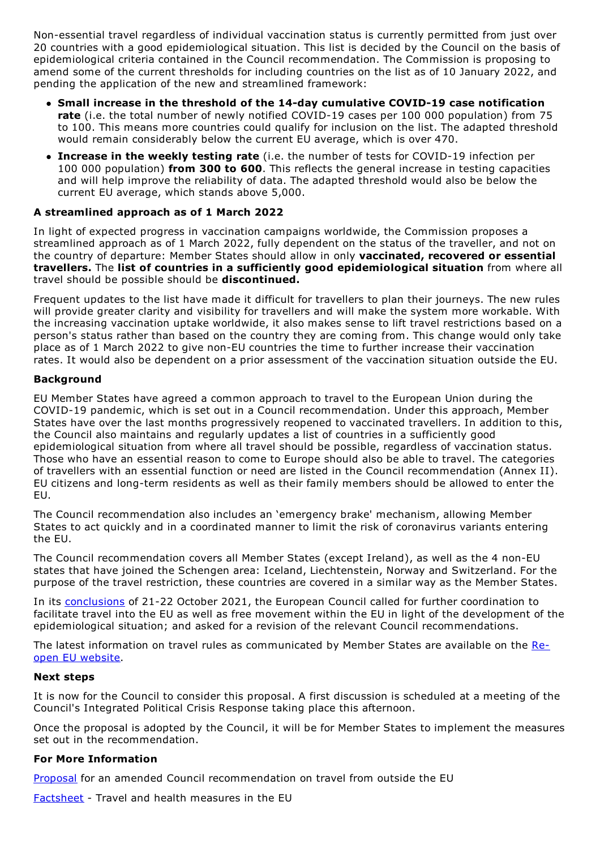Non-essential travel regardless of individual vaccination status is currently permitted from just over 20 countries with a good epidemiological situation. This list is decided by the Council on the basis of epidemiological criteria contained in the Council recommendation. The Commission is proposing to amend some of the current thresholds for including countries on the list as of 10 January 2022, and pending the application of the new and streamlined framework:

- **Small increase in the threshold of the 14-day cumulative COVID-19 case notification rate** (i.e. the total number of newly notified COVID-19 cases per 100 000 population) from 75 to 100. This means more countries could qualify for inclusion on the list. The adapted threshold would remain considerably below the current EU average, which is over 470.
- **Increase in the weekly testing rate** (i.e. the number of tests for COVID-19 infection per 100 000 population) **from 300 to 600**. This reflects the general increase in testing capacities and will help improve the reliability of data. The adapted threshold would also be below the current EU average, which stands above 5,000.

# **A streamlined approach as of 1 March 2022**

In light of expected progress in vaccination campaigns worldwide, the Commission proposes a streamlined approach as of 1 March 2022, fully dependent on the status of the traveller, and not on the country of departure: Member States should allow in only **vaccinated, recovered or essential travellers.** The **list of countries in a sufficiently good epidemiological situation** from where all travel should be possible should be **discontinued.**

Frequent updates to the list have made it difficult for travellers to plan their journeys. The new rules will provide greater clarity and visibility for travellers and will make the system more workable. With the increasing vaccination uptake worldwide, it also makes sense to lift travel restrictions based on a person's status rather than based on the country they are coming from. This change would only take place as of 1 March 2022 to give non-EU countries the time to further increase their vaccination rates. It would also be dependent on a prior assessment of the vaccination situation outside the EU.

# **Background**

EU Member States have agreed a common approach to travel to the European Union during the COVID-19 pandemic, which is set out in a Council recommendation. Under this approach, Member States have over the last months progressively reopened to vaccinated travellers. In addition to this, the Council also maintains and regularly updates a list of countries in a sufficiently good epidemiological situation from where all travel should be possible, regardless of vaccination status. Those who have an essential reason to come to Europe should also be able to travel. The categories of travellers with an essential function or need are listed in the Council recommendation (Annex II). EU citizens and long-term residents as well as their family members should be allowed to enter the EU.

The Council recommendation also includes an 'emergency brake' mechanism, allowing Member States to act quickly and in a coordinated manner to limit the risk of coronavirus variants entering the EU.

The Council recommendation covers all Member States (except Ireland), as well as the 4 non-EU states that have joined the Schengen area: Iceland, Liechtenstein, Norway and Switzerland. For the purpose of the travel restriction, these countries are covered in a similar way as the Member States.

In its [conclusions](https://www.consilium.europa.eu/en/press/press-releases/2021/10/22/european-council-conclusions-21-22-october-2021/) of 21-22 October 2021, the European Council called for further coordination to facilitate travel into the EU as well as free movement within the EU in light of the development of the epidemiological situation; and asked for a revision of the relevant Council recommendations.

The latest information on travel rules as [communicated](https://reopen.europa.eu/en/) by Member States are available on the Reopen EU website.

### **Next steps**

It is now for the Council to consider this proposal. A first discussion is scheduled at a meeting of the Council's Integrated Political Crisis Response taking place this afternoon.

Once the proposal is adopted by the Council, it will be for Member States to implement the measures set out in the recommendation.

### **For More Information**

[Proposal](https://ec.europa.eu/home-affairs/proposal-amending-council-recommendation-2020-912_en) for an amended Council recommendation on travel from outside the EU

[Factsheet](https://ec.europa.eu/commission/presscorner/detail/en/fs_21_6215) - Travel and health measures in the EU